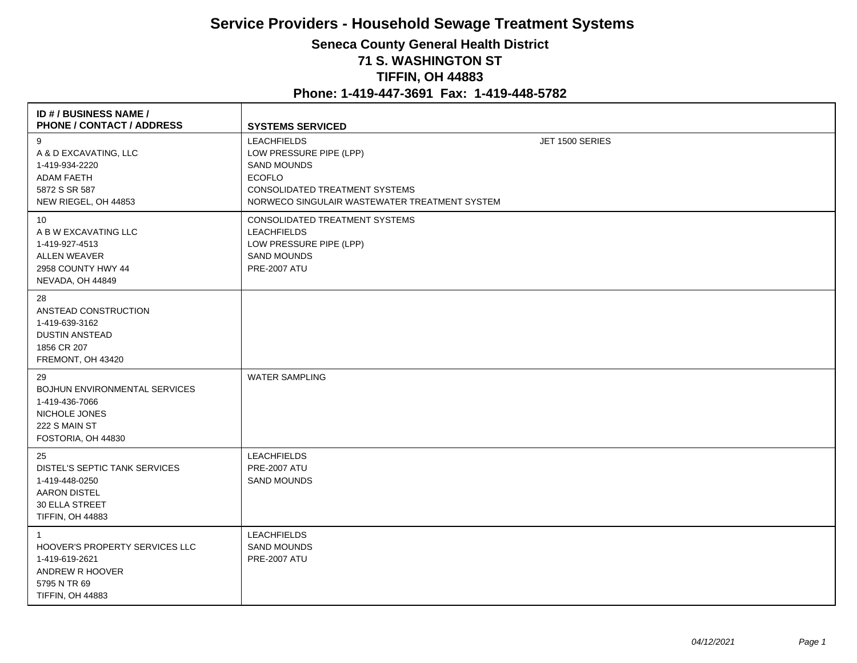## **Service Providers - Household Sewage Treatment Systems Seneca County General Health District 71 S. WASHINGTON ST TIFFIN, OH 44883**

## **Phone: 1-419-447-3691 Fax: 1-419-448-5782**

| <b>ID #/BUSINESS NAME/</b><br>PHONE / CONTACT / ADDRESS                                                                                 | <b>SYSTEMS SERVICED</b>                                                                                                                                                        |                 |
|-----------------------------------------------------------------------------------------------------------------------------------------|--------------------------------------------------------------------------------------------------------------------------------------------------------------------------------|-----------------|
| 9<br>A & D EXCAVATING, LLC<br>1-419-934-2220<br><b>ADAM FAETH</b><br>5872 S SR 587<br>NEW RIEGEL, OH 44853                              | <b>LEACHFIELDS</b><br>LOW PRESSURE PIPE (LPP)<br><b>SAND MOUNDS</b><br><b>ECOFLO</b><br><b>CONSOLIDATED TREATMENT SYSTEMS</b><br>NORWECO SINGULAIR WASTEWATER TREATMENT SYSTEM | JET 1500 SERIES |
| 10<br>A B W EXCAVATING LLC<br>1-419-927-4513<br><b>ALLEN WEAVER</b><br>2958 COUNTY HWY 44<br>NEVADA, OH 44849                           | CONSOLIDATED TREATMENT SYSTEMS<br><b>LEACHFIELDS</b><br>LOW PRESSURE PIPE (LPP)<br><b>SAND MOUNDS</b><br><b>PRE-2007 ATU</b>                                                   |                 |
| 28<br>ANSTEAD CONSTRUCTION<br>1-419-639-3162<br><b>DUSTIN ANSTEAD</b><br>1856 CR 207<br>FREMONT, OH 43420                               |                                                                                                                                                                                |                 |
| 29<br><b>BOJHUN ENVIRONMENTAL SERVICES</b><br>1-419-436-7066<br>NICHOLE JONES<br>222 S MAIN ST<br>FOSTORIA, OH 44830                    | <b>WATER SAMPLING</b>                                                                                                                                                          |                 |
| 25<br>DISTEL'S SEPTIC TANK SERVICES<br>1-419-448-0250<br><b>AARON DISTEL</b><br><b>30 ELLA STREET</b><br>TIFFIN, OH 44883               | <b>LEACHFIELDS</b><br><b>PRE-2007 ATU</b><br><b>SAND MOUNDS</b>                                                                                                                |                 |
| $\overline{1}$<br><b>HOOVER'S PROPERTY SERVICES LLC</b><br>1-419-619-2621<br>ANDREW R HOOVER<br>5795 N TR 69<br><b>TIFFIN, OH 44883</b> | <b>LEACHFIELDS</b><br><b>SAND MOUNDS</b><br><b>PRE-2007 ATU</b>                                                                                                                |                 |